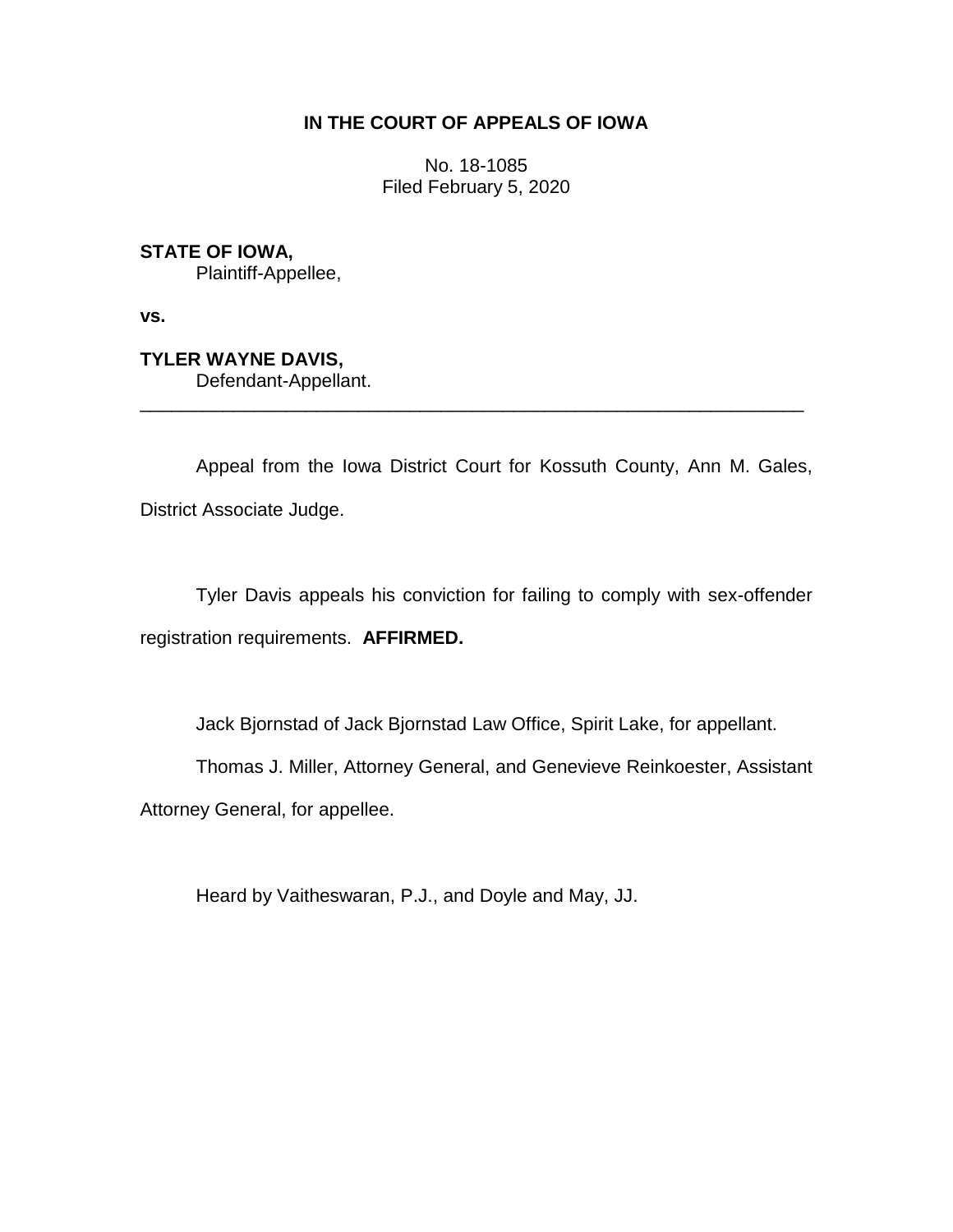# **IN THE COURT OF APPEALS OF IOWA**

No. 18-1085 Filed February 5, 2020

**STATE OF IOWA,**

Plaintiff-Appellee,

**vs.**

**TYLER WAYNE DAVIS,** Defendant-Appellant.

Appeal from the Iowa District Court for Kossuth County, Ann M. Gales, District Associate Judge.

\_\_\_\_\_\_\_\_\_\_\_\_\_\_\_\_\_\_\_\_\_\_\_\_\_\_\_\_\_\_\_\_\_\_\_\_\_\_\_\_\_\_\_\_\_\_\_\_\_\_\_\_\_\_\_\_\_\_\_\_\_\_\_\_

Tyler Davis appeals his conviction for failing to comply with sex-offender registration requirements. **AFFIRMED.**

Jack Bjornstad of Jack Bjornstad Law Office, Spirit Lake, for appellant.

Thomas J. Miller, Attorney General, and Genevieve Reinkoester, Assistant

Attorney General, for appellee.

Heard by Vaitheswaran, P.J., and Doyle and May, JJ.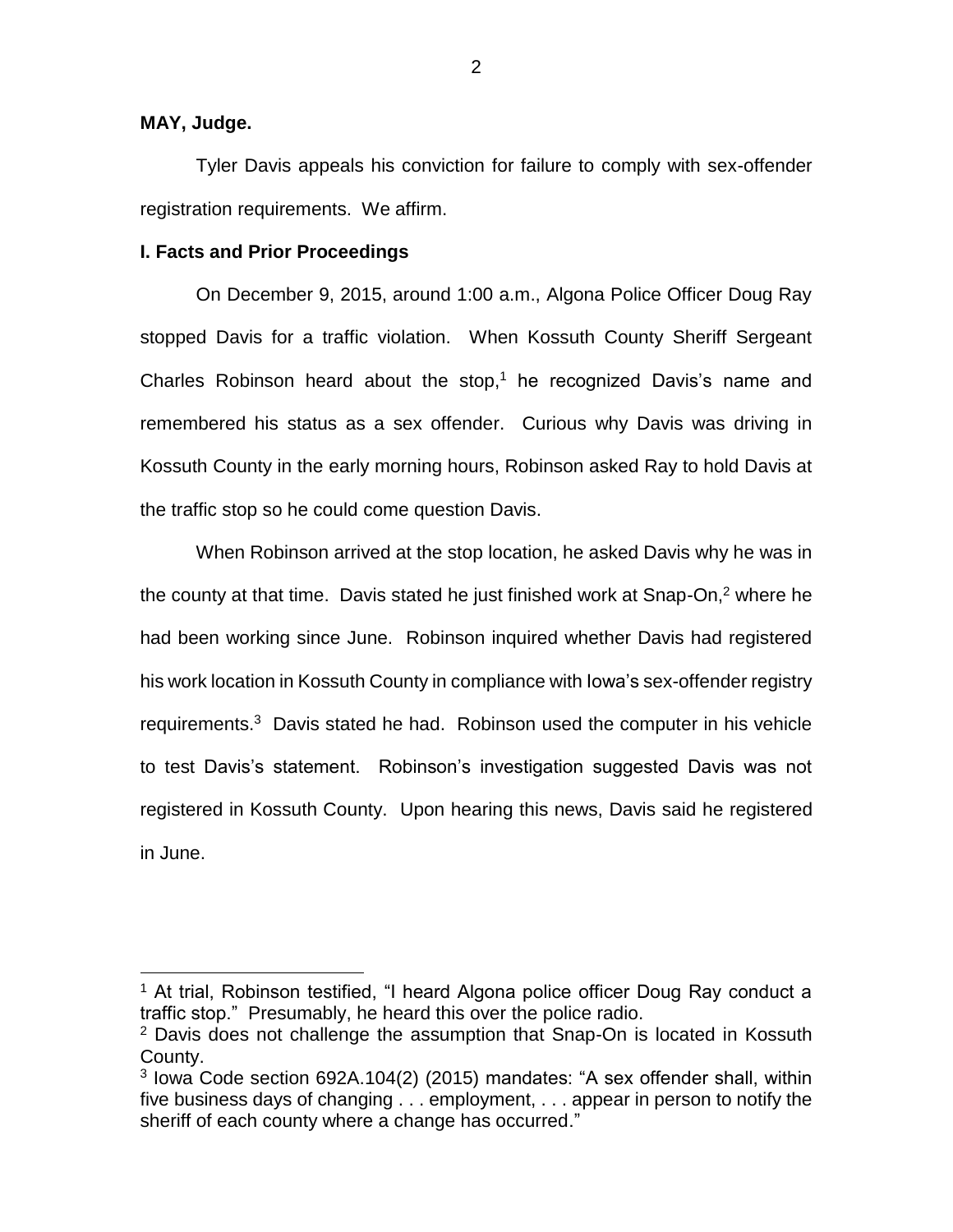## **MAY, Judge.**

 $\overline{a}$ 

Tyler Davis appeals his conviction for failure to comply with sex-offender registration requirements. We affirm.

#### **I. Facts and Prior Proceedings**

On December 9, 2015, around 1:00 a.m., Algona Police Officer Doug Ray stopped Davis for a traffic violation. When Kossuth County Sheriff Sergeant Charles Robinson heard about the stop, <sup>1</sup> he recognized Davis's name and remembered his status as a sex offender. Curious why Davis was driving in Kossuth County in the early morning hours, Robinson asked Ray to hold Davis at the traffic stop so he could come question Davis.

When Robinson arrived at the stop location, he asked Davis why he was in the county at that time. Davis stated he just finished work at Snap-On, <sup>2</sup> where he had been working since June. Robinson inquired whether Davis had registered his work location in Kossuth County in compliance with Iowa's sex-offender registry requirements. <sup>3</sup> Davis stated he had. Robinson used the computer in his vehicle to test Davis's statement. Robinson's investigation suggested Davis was not registered in Kossuth County. Upon hearing this news, Davis said he registered in June.

<sup>&</sup>lt;sup>1</sup> At trial, Robinson testified, "I heard Algona police officer Doug Ray conduct a traffic stop." Presumably, he heard this over the police radio.

<sup>&</sup>lt;sup>2</sup> Davis does not challenge the assumption that Snap-On is located in Kossuth County.

<sup>&</sup>lt;sup>3</sup> Iowa Code section 692A.104(2) (2015) mandates: "A sex offender shall, within five business days of changing . . . employment, . . . appear in person to notify the sheriff of each county where a change has occurred."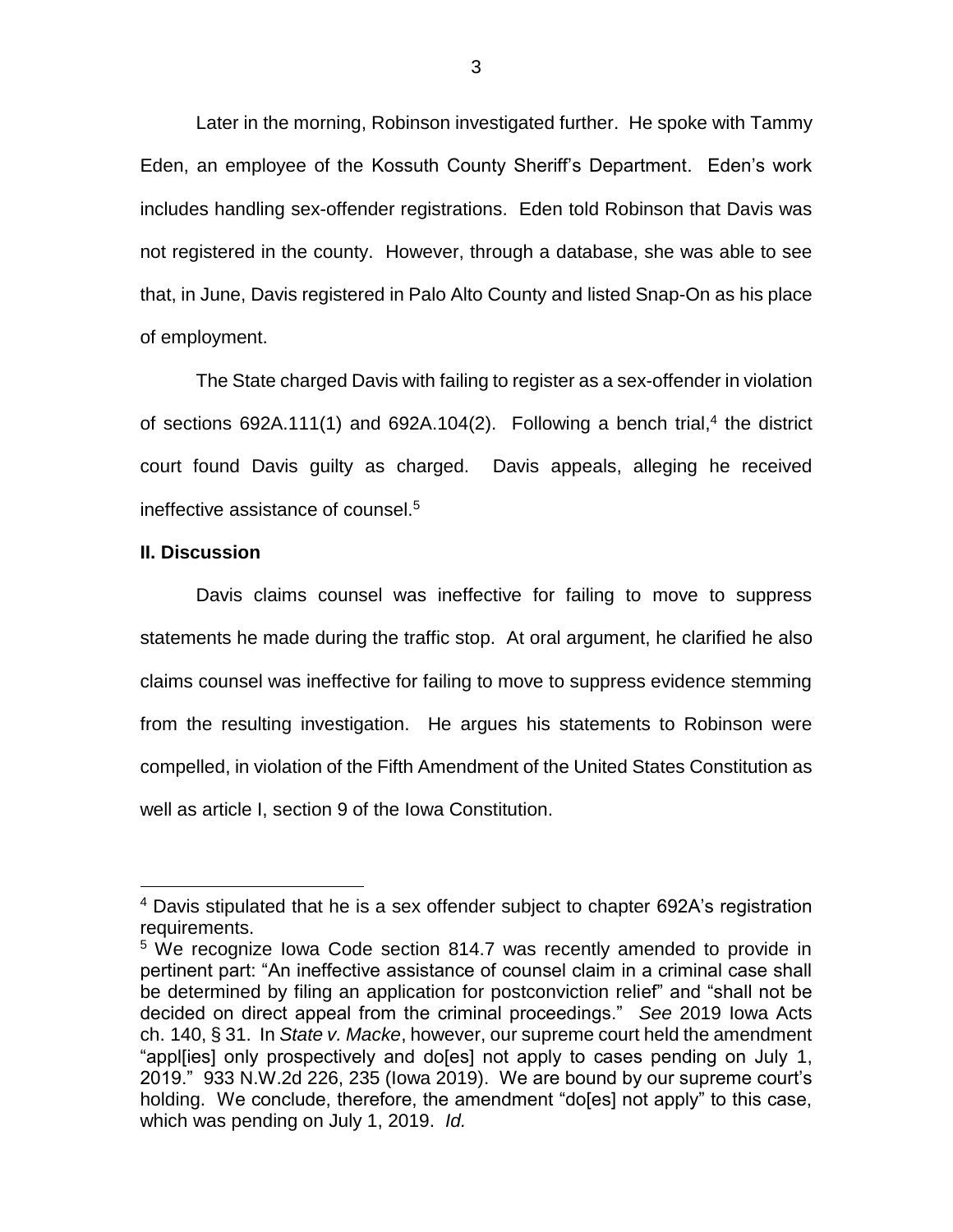Later in the morning, Robinson investigated further. He spoke with Tammy Eden, an employee of the Kossuth County Sheriff's Department. Eden's work includes handling sex-offender registrations. Eden told Robinson that Davis was not registered in the county. However, through a database, she was able to see that, in June, Davis registered in Palo Alto County and listed Snap-On as his place of employment.

The State charged Davis with failing to register as a sex-offender in violation of sections 692A.111(1) and 692A.104(2). Following a bench trial,<sup>4</sup> the district court found Davis guilty as charged. Davis appeals, alleging he received ineffective assistance of counsel.<sup>5</sup>

### **II. Discussion**

 $\overline{a}$ 

Davis claims counsel was ineffective for failing to move to suppress statements he made during the traffic stop. At oral argument, he clarified he also claims counsel was ineffective for failing to move to suppress evidence stemming from the resulting investigation. He argues his statements to Robinson were compelled, in violation of the Fifth Amendment of the United States Constitution as well as article I, section 9 of the Iowa Constitution.

<sup>&</sup>lt;sup>4</sup> Davis stipulated that he is a sex offender subject to chapter 692A's registration requirements.

<sup>&</sup>lt;sup>5</sup> We recognize Iowa Code section 814.7 was recently amended to provide in pertinent part: "An ineffective assistance of counsel claim in a criminal case shall be determined by filing an application for postconviction relief" and "shall not be decided on direct appeal from the criminal proceedings." *See* 2019 Iowa Acts ch. 140, § 31. In *State v. Macke*, however, our supreme court held the amendment "appl[ies] only prospectively and do[es] not apply to cases pending on July 1, 2019." 933 N.W.2d 226, 235 (Iowa 2019). We are bound by our supreme court's holding. We conclude, therefore, the amendment "do[es] not apply" to this case, which was pending on July 1, 2019. *Id.*